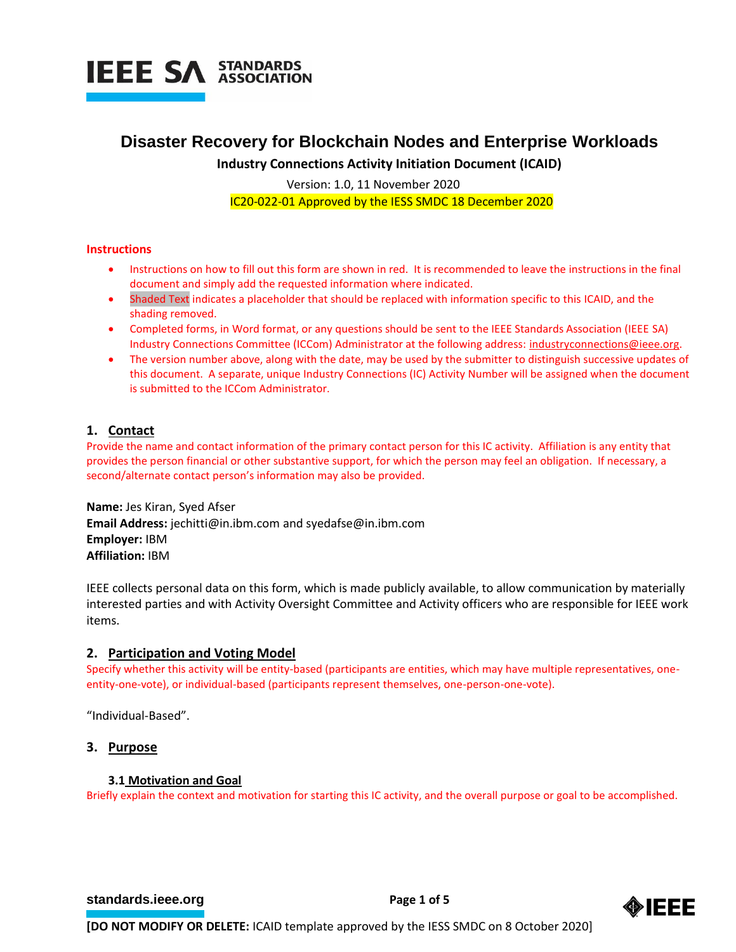

# **Disaster Recovery for Blockchain Nodes and Enterprise Workloads**

**Industry Connections Activity Initiation Document (ICAID)**

Version: 1.0, 11 November 2020

IC20-022-01 Approved by the IESS SMDC 18 December 2020

# **Instructions**

- Instructions on how to fill out this form are shown in red. It is recommended to leave the instructions in the final document and simply add the requested information where indicated.
- Shaded Text indicates a placeholder that should be replaced with information specific to this ICAID, and the shading removed.
- Completed forms, in Word format, or any questions should be sent to the IEEE Standards Association (IEEE SA) Industry Connections Committee (ICCom) Administrator at the following address: [industryconnections@ieee.org.](mailto:industryconnections@ieee.org)
- The version number above, along with the date, may be used by the submitter to distinguish successive updates of this document. A separate, unique Industry Connections (IC) Activity Number will be assigned when the document is submitted to the ICCom Administrator.

# **1. Contact**

Provide the name and contact information of the primary contact person for this IC activity. Affiliation is any entity that provides the person financial or other substantive support, for which the person may feel an obligation. If necessary, a second/alternate contact person's information may also be provided.

**Name:** Jes Kiran, Syed Afser **Email Address:** [jechitti@in.ibm.com](mailto:jechitti@in.ibm.com) and syedafse@in.ibm.com **Employer:** IBM **Affiliation:** IBM

IEEE collects personal data on this form, which is made publicly available, to allow communication by materially interested parties and with Activity Oversight Committee and Activity officers who are responsible for IEEE work items.

# **2. Participation and Voting Model**

Specify whether this activity will be entity-based (participants are entities, which may have multiple representatives, oneentity-one-vote), or individual-based (participants represent themselves, one-person-one-vote).

"Individual-Based".

# **3. Purpose**

# **3.1 Motivation and Goal**

Briefly explain the context and motivation for starting this IC activity, and the overall purpose or goal to be accomplished.

**[standards.ieee.org](http://standards.ieee.org/) EXECUTE: Page 1 of 5** 

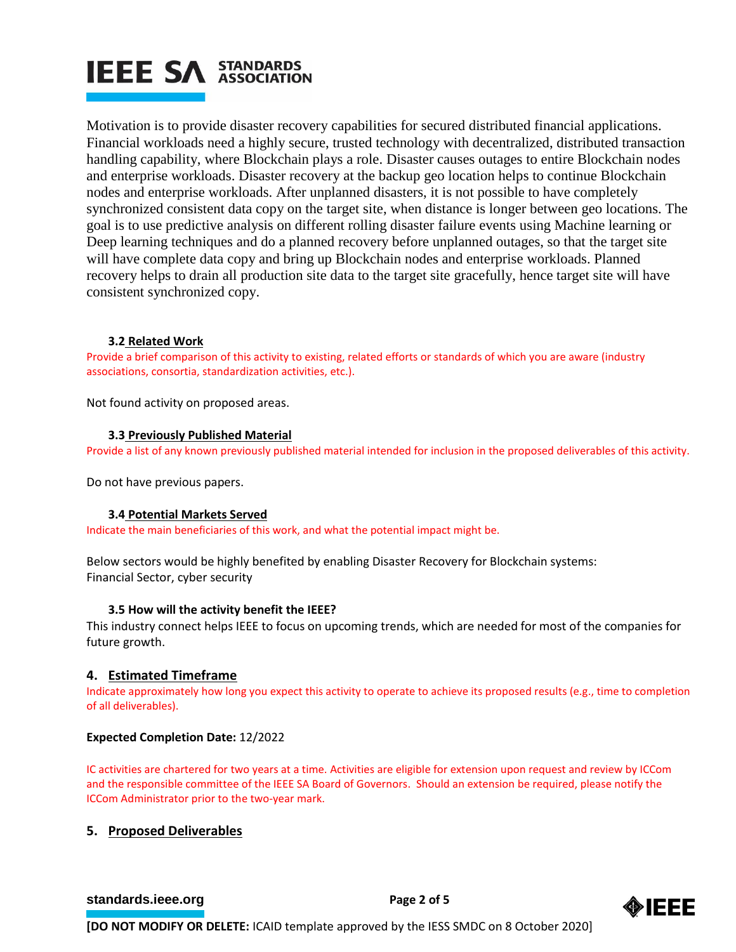# **IEEE SA STANDARDS**

Motivation is to provide disaster recovery capabilities for secured distributed financial applications. Financial workloads need a highly secure, trusted technology with decentralized, distributed transaction handling capability, where Blockchain plays a role. Disaster causes outages to entire Blockchain nodes and enterprise workloads. Disaster recovery at the backup geo location helps to continue Blockchain nodes and enterprise workloads. After unplanned disasters, it is not possible to have completely synchronized consistent data copy on the target site, when distance is longer between geo locations. The goal is to use predictive analysis on different rolling disaster failure events using Machine learning or Deep learning techniques and do a planned recovery before unplanned outages, so that the target site will have complete data copy and bring up Blockchain nodes and enterprise workloads. Planned recovery helps to drain all production site data to the target site gracefully, hence target site will have consistent synchronized copy.

# **3.2 Related Work**

Provide a brief comparison of this activity to existing, related efforts or standards of which you are aware (industry associations, consortia, standardization activities, etc.).

Not found activity on proposed areas.

# **3.3 Previously Published Material**

Provide a list of any known previously published material intended for inclusion in the proposed deliverables of this activity.

Do not have previous papers.

# **3.4 Potential Markets Served**

Indicate the main beneficiaries of this work, and what the potential impact might be.

Below sectors would be highly benefited by enabling Disaster Recovery for Blockchain systems: Financial Sector, cyber security

# **3.5 How will the activity benefit the IEEE?**

This industry connect helps IEEE to focus on upcoming trends, which are needed for most of the companies for future growth.

# **4. Estimated Timeframe**

Indicate approximately how long you expect this activity to operate to achieve its proposed results (e.g., time to completion of all deliverables).

# **Expected Completion Date:** 12/2022

IC activities are chartered for two years at a time. Activities are eligible for extension upon request and review by ICCom and the responsible committee of the IEEE SA Board of Governors. Should an extension be required, please notify the ICCom Administrator prior to the two-year mark.

# **5. Proposed Deliverables**

# **[standards.ieee.org](http://standards.ieee.org/) EXECUTE: Page 2 of 5**

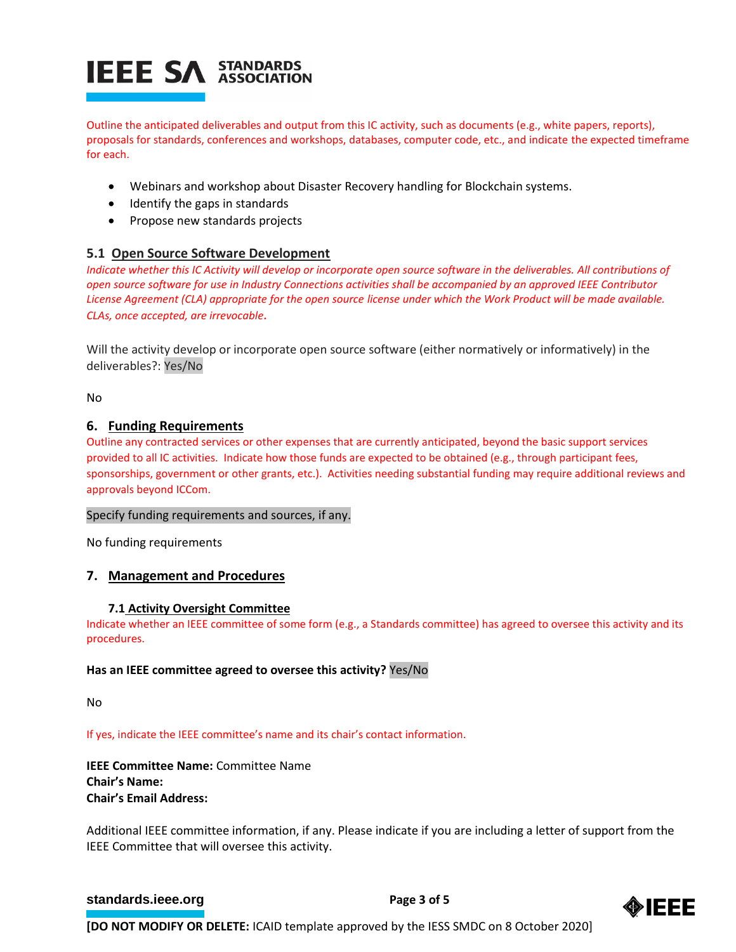# **IEEE SA STANDARDS**

Outline the anticipated deliverables and output from this IC activity, such as documents (e.g., white papers, reports), proposals for standards, conferences and workshops, databases, computer code, etc., and indicate the expected timeframe for each.

- Webinars and workshop about Disaster Recovery handling for Blockchain systems.
- Identify the gaps in standards
- Propose new standards projects

# **5.1 Open Source Software Development**

*Indicate whether this IC Activity will develop or incorporate open source software in the deliverables. All contributions of open source software for use in Industry Connections activities shall be accompanied by an approved IEEE Contributor License Agreement (CLA) appropriate for the open source license under which the Work Product will be made available. CLAs, once accepted, are irrevocable.*

Will the activity develop or incorporate open source software (either normatively or informatively) in the deliverables?: Yes/No

No

# **6. Funding Requirements**

Outline any contracted services or other expenses that are currently anticipated, beyond the basic support services provided to all IC activities. Indicate how those funds are expected to be obtained (e.g., through participant fees, sponsorships, government or other grants, etc.). Activities needing substantial funding may require additional reviews and approvals beyond ICCom.

# Specify funding requirements and sources, if any.

No funding requirements

# **7. Management and Procedures**

# **7.1 Activity Oversight Committee**

Indicate whether an IEEE committee of some form (e.g., a Standards committee) has agreed to oversee this activity and its procedures.

# **Has an IEEE committee agreed to oversee this activity?** Yes/No

No

If yes, indicate the IEEE committee's name and its chair's contact information.

**IEEE Committee Name:** Committee Name **Chair's Name: Chair's Email Address:** 

Additional IEEE committee information, if any. Please indicate if you are including a letter of support from the IEEE Committee that will oversee this activity.

# **[standards.ieee.org](http://standards.ieee.org/) EXECUTE: Page 3 of 5**

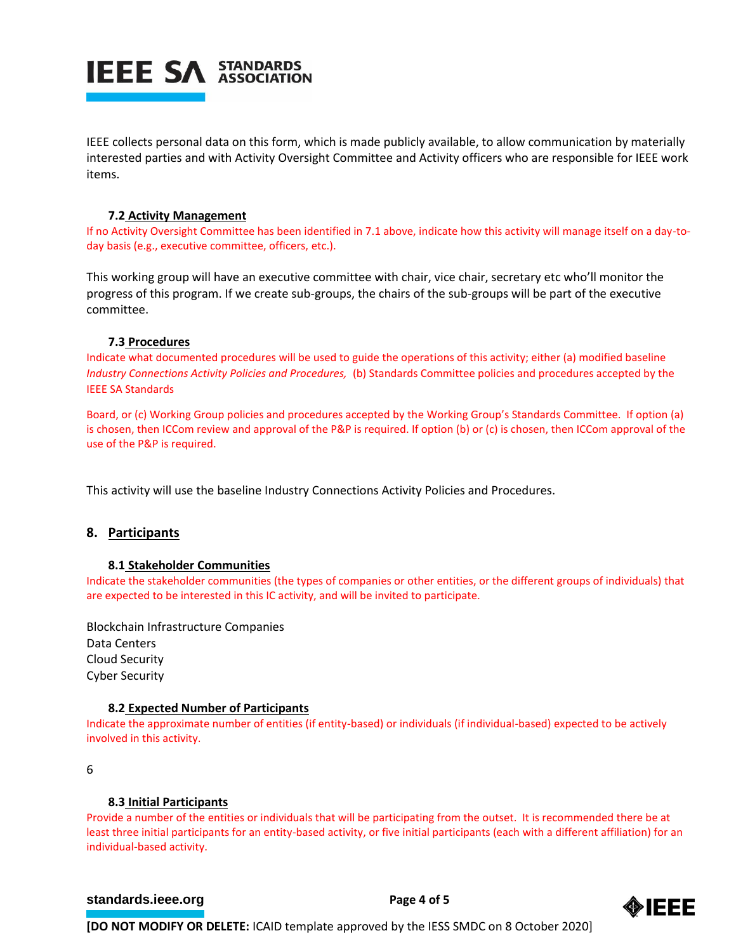

IEEE collects personal data on this form, which is made publicly available, to allow communication by materially interested parties and with Activity Oversight Committee and Activity officers who are responsible for IEEE work items.

# **7.2 Activity Management**

If no Activity Oversight Committee has been identified in 7.1 above, indicate how this activity will manage itself on a day-today basis (e.g., executive committee, officers, etc.).

This working group will have an executive committee with chair, vice chair, secretary etc who'll monitor the progress of this program. If we create sub-groups, the chairs of the sub-groups will be part of the executive committee.

# **7.3 Procedures**

Indicate what documented procedures will be used to guide the operations of this activity; either (a) modified baseline *Industry Connections Activity Policies and Procedures,* (b) Standards Committee policies and procedures accepted by the IEEE SA Standards

Board, or (c) Working Group policies and procedures accepted by the Working Group's Standards Committee. If option (a) is chosen, then ICCom review and approval of the P&P is required. If option (b) or (c) is chosen, then ICCom approval of the use of the P&P is required.

This activity will use the baseline Industry Connections Activity Policies and Procedures.

# **8. Participants**

# **8.1 Stakeholder Communities**

Indicate the stakeholder communities (the types of companies or other entities, or the different groups of individuals) that are expected to be interested in this IC activity, and will be invited to participate.

Blockchain Infrastructure Companies Data Centers Cloud Security Cyber Security

# **8.2 Expected Number of Participants**

Indicate the approximate number of entities (if entity-based) or individuals (if individual-based) expected to be actively involved in this activity.

6

# **8.3 Initial Participants**

Provide a number of the entities or individuals that will be participating from the outset. It is recommended there be at least three initial participants for an entity-based activity, or five initial participants (each with a different affiliation) for an individual-based activity.

# **[standards.ieee.org](http://standards.ieee.org/) EXECUTE: Page 4 of 5**